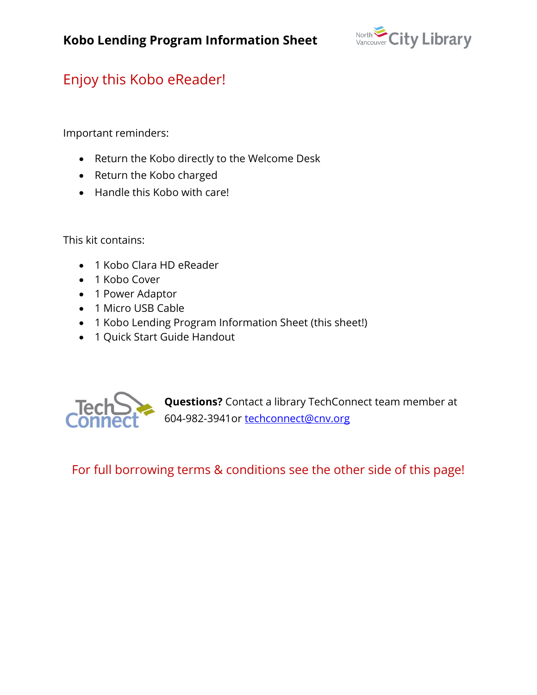

## Enjoy this Kobo eReader!

Important reminders:

- Return the Kobo directly to the Welcome Desk
- Return the Kobo charged
- Handle this Kobo with care!

This kit contains:

- 1 Kobo Clara HD eReader
- 1 Kobo Cover
- 1 Power Adaptor
- 1 Micro USB Cable
- 1 Kobo Lending Program Information Sheet (this sheet!)
- 1 Quick Start Guide Handout



**Questions?** Contact a library TechConnect team member at 604-982-3941or [techconnect@cnv.org](mailto:techconnect@cnv.org)

For full borrowing terms & conditions see the other side of this page!